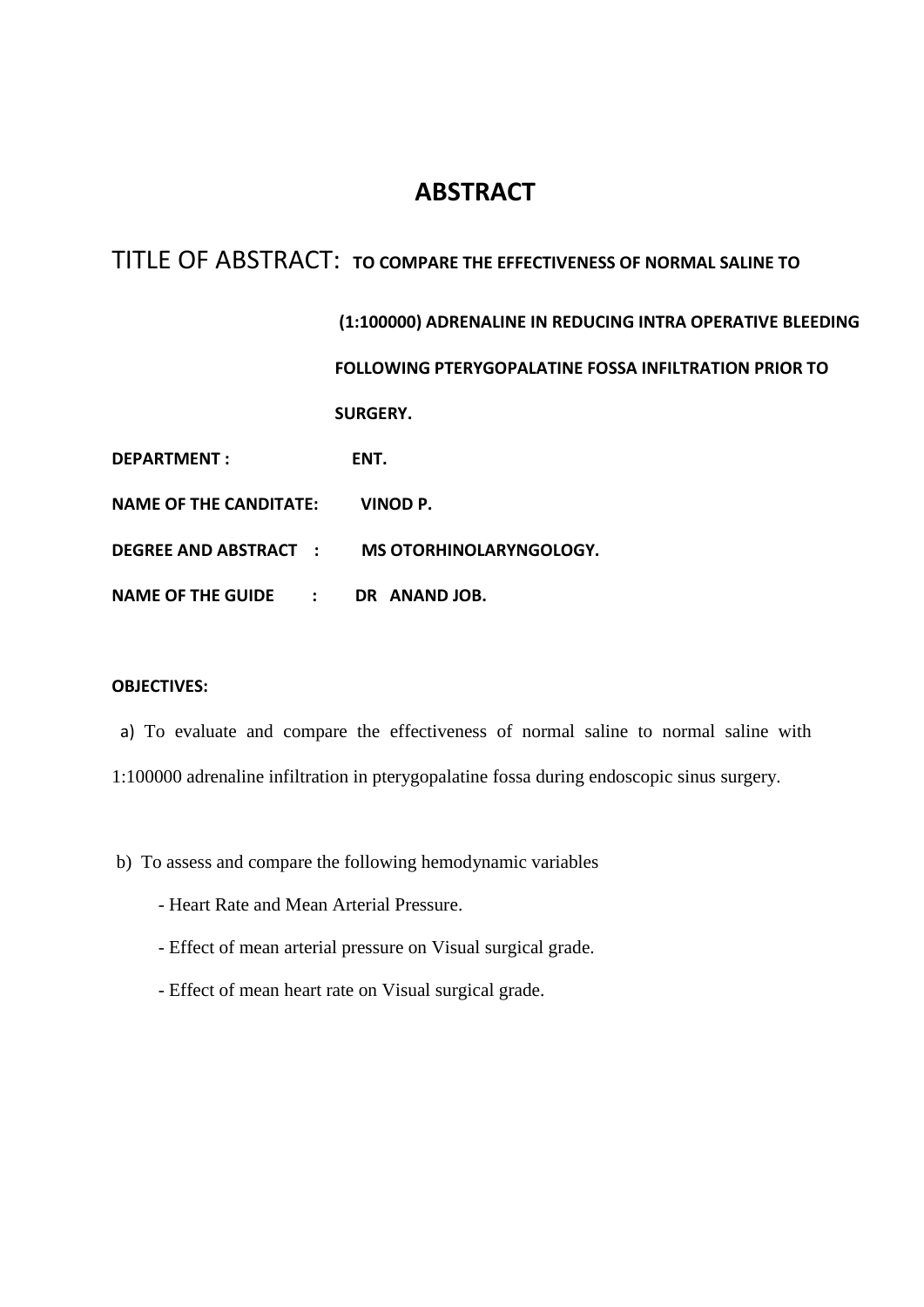# **ABSTRACT**

# TITLE OF ABSTRACT: **TO COMPARE THE EFFECTIVENESS OF NORMAL SALINE TO**

|                               | (1:100000) ADRENALINE IN REDUCING INTRA OPERATIVE BLEEDING   |
|-------------------------------|--------------------------------------------------------------|
|                               | <b>FOLLOWING PTERYGOPALATINE FOSSA INFILTRATION PRIOR TO</b> |
|                               | <b>SURGERY.</b>                                              |
| <b>DEPARTMENT:</b>            | ENT.                                                         |
| <b>NAME OF THE CANDITATE:</b> | VINOD P.                                                     |
|                               | DEGREE AND ABSTRACT : MS OTORHINOLARYNGOLOGY.                |
| NAME OF THE GUIDE :           | DR ANAND JOB.                                                |

## **OBJECTIVES:**

- a) To evaluate and compare the effectiveness of normal saline to normal saline with 1:100000 adrenaline infiltration in pterygopalatine fossa during endoscopic sinus surgery.
- b) To assess and compare the following hemodynamic variables
	- Heart Rate and Mean Arterial Pressure.
	- Effect of mean arterial pressure on Visual surgical grade.
	- Effect of mean heart rate on Visual surgical grade.